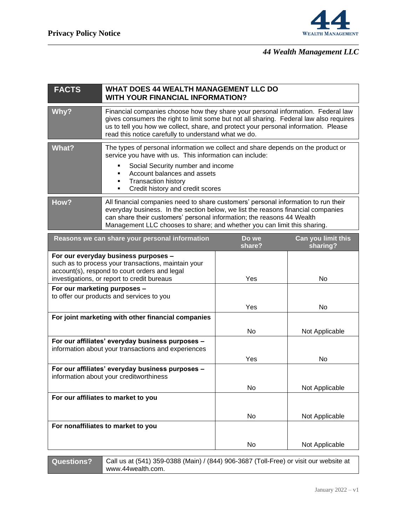

## *44 Wealth Management LLC*

| <b>FACTS</b>                                                                                                                                                                                | <b>WHAT DOES 44 WEALTH MANAGEMENT LLC DO</b><br><b>WITH YOUR FINANCIAL INFORMATION?</b>                                                                                                                                                                                                                                      |                 |                                |
|---------------------------------------------------------------------------------------------------------------------------------------------------------------------------------------------|------------------------------------------------------------------------------------------------------------------------------------------------------------------------------------------------------------------------------------------------------------------------------------------------------------------------------|-----------------|--------------------------------|
| Why?                                                                                                                                                                                        | Financial companies choose how they share your personal information. Federal law<br>gives consumers the right to limit some but not all sharing. Federal law also requires<br>us to tell you how we collect, share, and protect your personal information. Please<br>read this notice carefully to understand what we do.    |                 |                                |
| <b>What?</b>                                                                                                                                                                                | The types of personal information we collect and share depends on the product or<br>service you have with us. This information can include:<br>Social Security number and income<br>Account balances and assets<br><b>Transaction history</b><br>Credit history and credit scores<br>٠                                       |                 |                                |
| How?                                                                                                                                                                                        | All financial companies need to share customers' personal information to run their<br>everyday business. In the section below, we list the reasons financial companies<br>can share their customers' personal information; the reasons 44 Wealth<br>Management LLC chooses to share; and whether you can limit this sharing. |                 |                                |
|                                                                                                                                                                                             | Reasons we can share your personal information                                                                                                                                                                                                                                                                               | Do we<br>share? | Can you limit this<br>sharing? |
| For our everyday business purposes -<br>such as to process your transactions, maintain your<br>account(s), respond to court orders and legal<br>investigations, or report to credit bureaus |                                                                                                                                                                                                                                                                                                                              | Yes             | No                             |
| For our marketing purposes -<br>to offer our products and services to you                                                                                                                   |                                                                                                                                                                                                                                                                                                                              | Yes             | No                             |
|                                                                                                                                                                                             | For joint marketing with other financial companies                                                                                                                                                                                                                                                                           | No              | Not Applicable                 |
| For our affiliates' everyday business purposes -<br>information about your transactions and experiences                                                                                     |                                                                                                                                                                                                                                                                                                                              | Yes             | No                             |
| For our affiliates' everyday business purposes -<br>information about your creditworthiness                                                                                                 |                                                                                                                                                                                                                                                                                                                              | No              | Not Applicable                 |
| For our affiliates to market to you                                                                                                                                                         |                                                                                                                                                                                                                                                                                                                              |                 |                                |
|                                                                                                                                                                                             |                                                                                                                                                                                                                                                                                                                              | No              | Not Applicable                 |
| For nonaffiliates to market to you                                                                                                                                                          |                                                                                                                                                                                                                                                                                                                              |                 |                                |
|                                                                                                                                                                                             |                                                                                                                                                                                                                                                                                                                              | No              | Not Applicable                 |

**Questions?** Call us at (541) 359-0388 (Main) / (844) 906-3687 (Toll-Free) or visit our website at www.44wealth.com.